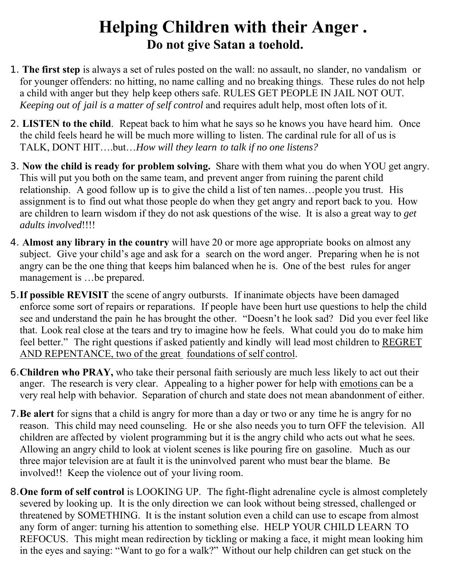## **Helping Children with their Anger . Do not give Satan a toehold.**

- 1. **The first step** is always a set of rules posted on the wall: no assault, no slander, no vandalism or for younger offenders: no hitting, no name calling and no breaking things. These rules do not help a child with anger but they help keep others safe. RULES GET PEOPLE IN JAIL NOT OUT*. Keeping out of jail is a matter of self control and requires adult help, most often lots of it.*
- 2. **LISTEN to the child**. Repeat back to him what he says so he knows you have heard him. Once the child feels heard he will be much more willing to listen. The cardinal rule for all of us is TALK, DONT HIT….but…*How will they learn to talk if no one listens?*
- 3. **Now the child is ready for problem solving.** Share with them what you do when YOU get angry. This will put you both on the same team, and prevent anger from ruining the parent child relationship. A good follow up is to give the child a list of ten names…people you trust. His assignment is to find out what those people do when they get angry and report back to you. How are children to learn wisdom if they do not ask questions of the wise. It is also a great way to *get adults involved*!!!!
- 4. **Almost any library in the country** will have 20 or more age appropriate books on almost any subject. Give your child's age and ask for a search on the word anger. Preparing when he is not angry can be the one thing that keeps him balanced when he is. One of the best rules for anger management is …be prepared.
- 5.**If possible REVISIT** the scene of angry outbursts. If inanimate objects have been damaged enforce some sort of repairs or reparations. If people have been hurt use questions to help the child see and understand the pain he has brought the other. "Doesn't he look sad? Did you ever feel like that. Look real close at the tears and try to imagine how he feels. What could you do to make him feel better." The right questions if asked patiently and kindly will lead most children to REGRET AND REPENTANCE, two of the great foundations of self control.
- 6.**Children who PRAY,** who take their personal faith seriously are much less likely to act out their anger. The research is very clear. Appealing to a higher power for help with emotions can be a very real help with behavior. Separation of church and state does not mean abandonment of either.
- 7.**Be alert** for signs that a child is angry for more than a day or two or any time he is angry for no reason. This child may need counseling. He or she also needs you to turn OFF the television. All children are affected by violent programming but it is the angry child who acts out what he sees. Allowing an angry child to look at violent scenes is like pouring fire on gasoline. Much as our three major television are at fault it is the uninvolved parent who must bear the blame. Be involved!! Keep the violence out of your living room.
- 8.**One form of self control** is LOOKING UP. The fight-flight adrenaline cycle is almost completely severed by looking up. It is the only direction we can look without being stressed, challenged or threatened by SOMETHING. It is the instant solution even a child can use to escape from almost any form of anger: turning his attention to something else. HELP YOUR CHILD LEARN TO REFOCUS. This might mean redirection by tickling or making a face, it might mean looking him in the eyes and saying: "Want to go for a walk?" Without our help children can get stuck on the